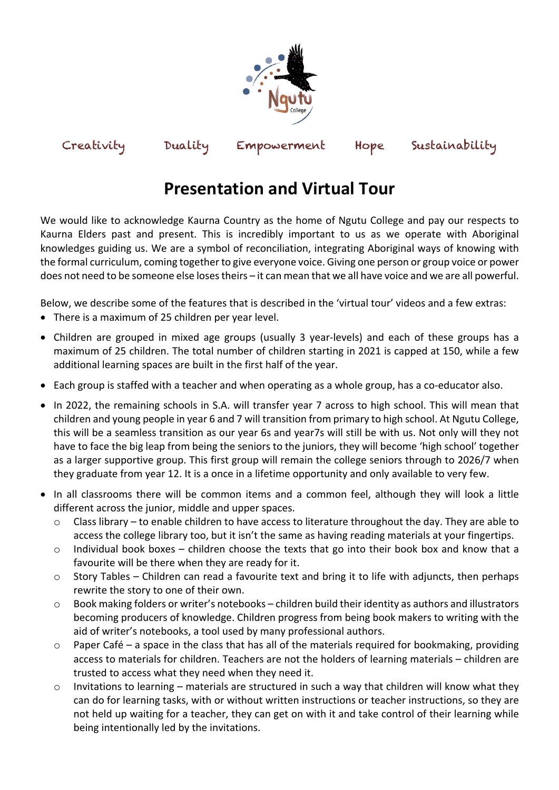

## Creativity Duality Empowerment Hope Sustainability

## **Presentation and Virtual Tour**

We would like to acknowledge Kaurna Country as the home of Ngutu College and pay our respects to Kaurna Elders past and present. This is incredibly important to us as we operate with Aboriginal knowledges guiding us. We are a symbol of reconciliation, integrating Aboriginal ways of knowing with the formal curriculum, coming together to give everyone voice. Giving one person or group voice or power does not need to be someone else loses theirs – it can mean that we all have voice and we are all powerful.

Below, we describe some of the features that is described in the 'virtual tour' videos and a few extras:

- There is a maximum of 25 children per year level.
- Children are grouped in mixed age groups (usually 3 year-levels) and each of these groups has a maximum of 25 children. The total number of children starting in 2021 is capped at 150, while a few additional learning spaces are built in the first half of the year.
- Each group is staffed with a teacher and when operating as a whole group, has a co-educator also.
- In 2022, the remaining schools in S.A. will transfer year 7 across to high school. This will mean that children and young people in year 6 and 7 will transition from primary to high school. At Ngutu College, this will be a seamless transition as our year 6s and year7s will still be with us. Not only will they not have to face the big leap from being the seniors to the juniors, they will become 'high school' together as a larger supportive group. This first group will remain the college seniors through to 2026/7 when they graduate from year 12. It is a once in a lifetime opportunity and only available to very few.
- In all classrooms there will be common items and a common feel, although they will look a little different across the junior, middle and upper spaces.
	- o Class library to enable children to have access to literature throughout the day. They are able to access the college library too, but it isn't the same as having reading materials at your fingertips.
	- $\circ$  Individual book boxes children choose the texts that go into their book box and know that a favourite will be there when they are ready for it.
	- $\circ$  Story Tables Children can read a favourite text and bring it to life with adjuncts, then perhaps rewrite the story to one of their own.
	- o Book making folders or writer's notebooks children build their identity as authors and illustrators becoming producers of knowledge. Children progress from being book makers to writing with the aid of writer's notebooks, a tool used by many professional authors.
	- $\circ$  Paper Café a space in the class that has all of the materials required for bookmaking, providing access to materials for children. Teachers are not the holders of learning materials – children are trusted to access what they need when they need it.
	- $\circ$  Invitations to learning materials are structured in such a way that children will know what they can do for learning tasks, with or without written instructions or teacher instructions, so they are not held up waiting for a teacher, they can get on with it and take control of their learning while being intentionally led by the invitations.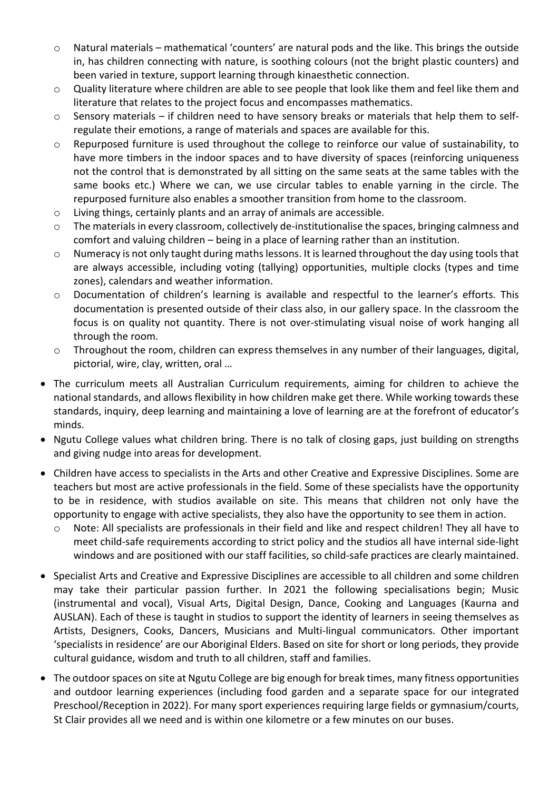- $\circ$  Natural materials mathematical 'counters' are natural pods and the like. This brings the outside in, has children connecting with nature, is soothing colours (not the bright plastic counters) and been varied in texture, support learning through kinaesthetic connection.
- $\circ$  Quality literature where children are able to see people that look like them and feel like them and literature that relates to the project focus and encompasses mathematics.
- o Sensory materials if children need to have sensory breaks or materials that help them to selfregulate their emotions, a range of materials and spaces are available for this.
- $\circ$  Repurposed furniture is used throughout the college to reinforce our value of sustainability, to have more timbers in the indoor spaces and to have diversity of spaces (reinforcing uniqueness not the control that is demonstrated by all sitting on the same seats at the same tables with the same books etc.) Where we can, we use circular tables to enable yarning in the circle. The repurposed furniture also enables a smoother transition from home to the classroom.
- o Living things, certainly plants and an array of animals are accessible.
- $\circ$  The materials in every classroom, collectively de-institutionalise the spaces, bringing calmness and comfort and valuing children – being in a place of learning rather than an institution.
- o Numeracy is not only taught during maths lessons. It is learned throughout the day using tools that are always accessible, including voting (tallying) opportunities, multiple clocks (types and time zones), calendars and weather information.
- o Documentation of children's learning is available and respectful to the learner's efforts. This documentation is presented outside of their class also, in our gallery space. In the classroom the focus is on quality not quantity. There is not over-stimulating visual noise of work hanging all through the room.
- $\circ$  Throughout the room, children can express themselves in any number of their languages, digital, pictorial, wire, clay, written, oral …
- The curriculum meets all Australian Curriculum requirements, aiming for children to achieve the national standards, and allows flexibility in how children make get there. While working towards these standards, inquiry, deep learning and maintaining a love of learning are at the forefront of educator's minds.
- Ngutu College values what children bring. There is no talk of closing gaps, just building on strengths and giving nudge into areas for development.
- Children have access to specialists in the Arts and other Creative and Expressive Disciplines. Some are teachers but most are active professionals in the field. Some of these specialists have the opportunity to be in residence, with studios available on site. This means that children not only have the opportunity to engage with active specialists, they also have the opportunity to see them in action.
	- Note: All specialists are professionals in their field and like and respect children! They all have to meet child-safe requirements according to strict policy and the studios all have internal side-light windows and are positioned with our staff facilities, so child-safe practices are clearly maintained.
- Specialist Arts and Creative and Expressive Disciplines are accessible to all children and some children may take their particular passion further. In 2021 the following specialisations begin; Music (instrumental and vocal), Visual Arts, Digital Design, Dance, Cooking and Languages (Kaurna and AUSLAN). Each of these is taught in studios to support the identity of learners in seeing themselves as Artists, Designers, Cooks, Dancers, Musicians and Multi-lingual communicators. Other important 'specialists in residence' are our Aboriginal Elders. Based on site for short or long periods, they provide cultural guidance, wisdom and truth to all children, staff and families.
- The outdoor spaces on site at Ngutu College are big enough for break times, many fitness opportunities and outdoor learning experiences (including food garden and a separate space for our integrated Preschool/Reception in 2022). For many sport experiences requiring large fields or gymnasium/courts, St Clair provides all we need and is within one kilometre or a few minutes on our buses.